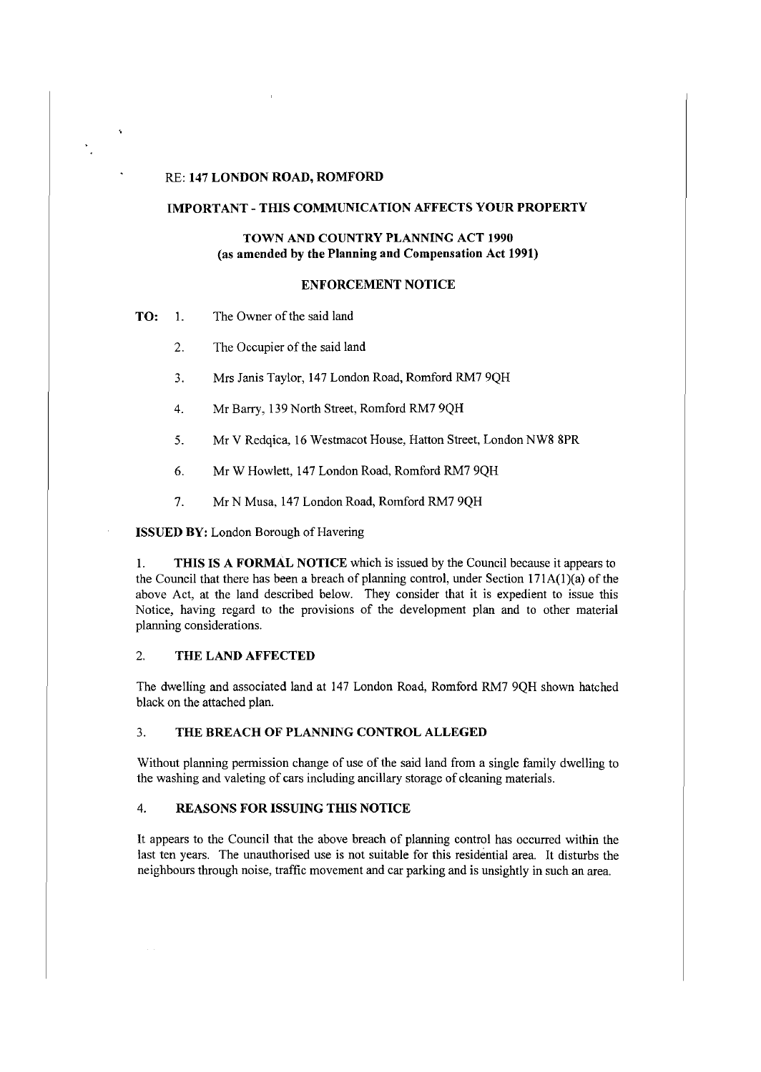#### RE: **147 LONDON ROAD, ROMFORD**

 $\mathbf{v}$ 

### **IMPORTANT-THIS COMMUNICATION AFFECTS YOUR PROPERTY**

## **TOWN AND COUNTRY PLANNING ACT 1990** (as **amended by the Planning and Compensation Act 1991)**

#### **ENFORCEMENT NOTICE**

**TO:** 1. The Owner of the said land

- 2. The Occupier of the said land
- 3. Mrs Janis Taylor, 147 London Road, Romford RM7 9QH
- 4. Mr Barry, 139 North Street, Romford RM7 9QH
- 5. Mr V Redqica, 16 Westmacot House, Hatton Street, London NW8 8PR
- 6. Mr W Howlett, 147 London Road, Romford RM7 9QH
- 7. Mr N Musa, 147 London Road, Romford RM7 9QH

**ISSUED BY:** London Borough of Havering

I. **THIS IS A FORMAL NOTICE** which is issued by the Council because it appears to the Council that there has been a breach of planning control, under Section  $171A(1)(a)$  of the above Act, at the land described below. They consider that it is expedient to issue this Notice, having regard to the provisions of the development plan and to other material planning considerations.

### 2. **THE LAND AFFECTED**

The dwelling and associated land at 147 London Road, Romford RM7 9QH shown hatched black on the attached plan.

### 3. **THE BREACH OF PLANNING CONTROL ALLEGED**

Without planning permission change of use of the said land from a single family dwelling to the washing and valeting of cars including ancillary storage of cleaning materials.

### 4. **REASONS FOR ISSUING THIS NOTICE**

It appears to the Council that the above breach of planning control has occurred within the last ten years. The unauthorised use is not suitable for this residential area. It disturbs the neighbours through noise, traffic movement and car parking and is unsightly in such an area.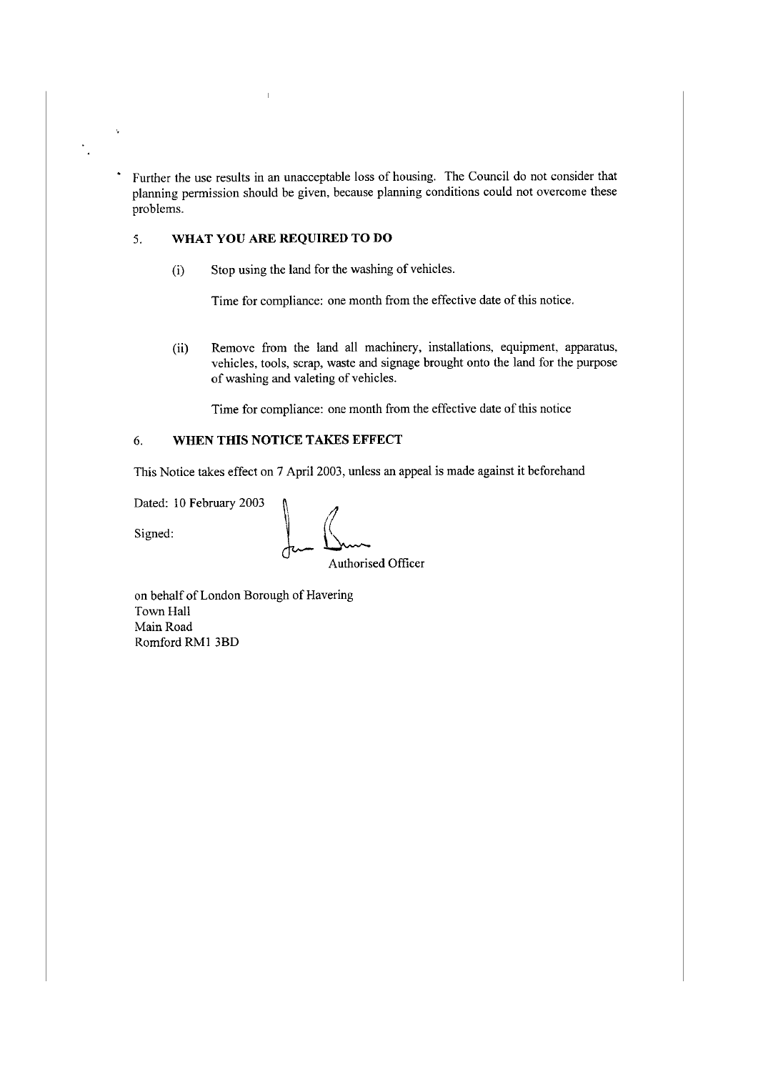Further the use results in an unacceptable loss of housing. The Council do not consider that planning permission should be given, because planning conditions could not overcome these problems.

# 5. **WHAT YOU ARE REQUIRED TO DO**

(i) Stop using the land for the washing of vehicles.

Time for compliance: one month from the effective date of this notice.

(ii) Remove from the land all machinery, installations, equipment, apparatus, vehicles, tools, scrap, waste and signage brought onto the land for the purpose of washing and valeting of vehicles.

Time for compliance: one month from the effective date of this notice

# 6. **WHEN THIS NOTICE TAKES EFFECT**

This Notice takes effect on 7 April 2003, unless an appeal is made against it beforehand

Dated: 10 February 2003

 $\ddot{\psi}$ 

 $\ddot{\phantom{0}}$ 

Dated: 10 February 2003<br>Signed:  $\int_{\mathcal{C}} \frac{1}{\sqrt{2\pi}} \int_{\text{Authori}}^{2\pi}$ 

Authorised Officer

on behalf of London Borough of Havering Town Hall Main Road Romford RMI 3BD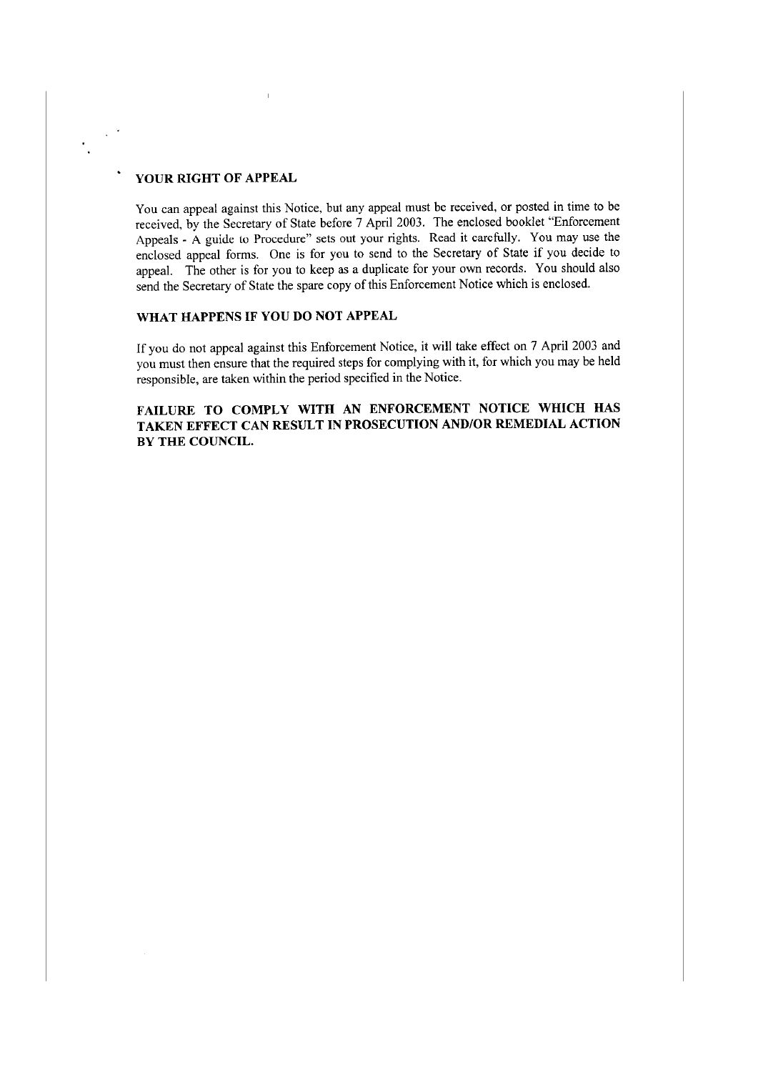# **YOUR RIGHT OF APPEAL**

 $\chi^{\rm 1.5}$ 

You can appeal against this Notice, but any appeal must be received, or posted in time to be received, by the Secretary of State before 7 April 2003. The enclosed booklet "Enforcement Appeals - A guide lo Procedure" sets out your rights. Read it carefully. You may use the enclosed appeal forms. One is for you to send to the Secretary of State if you decide to appeal. The other is for you to keep as a duplicate for your own records. You should also send the Secretary of State the spare copy of this Enforcement Notice which is enclosed.

## **WHAT HAPPENS IF YOU DO NOT APPEAL**

If you do not appeal against this Enforcement Notice, it will take effect on 7 April 2003 and you must then ensure that the required steps for complying with it, for which you may be held responsible, are taken within the period specified in the Notice.

**FAILURE TO COMPLY WITH AN ENFORCEMENT NOTICE WHICH HAS TAKEN EFFECT CAN RESULT IN PROSECUTION AND/OR REMEDIAL ACTION BY THE COUNCIL.**